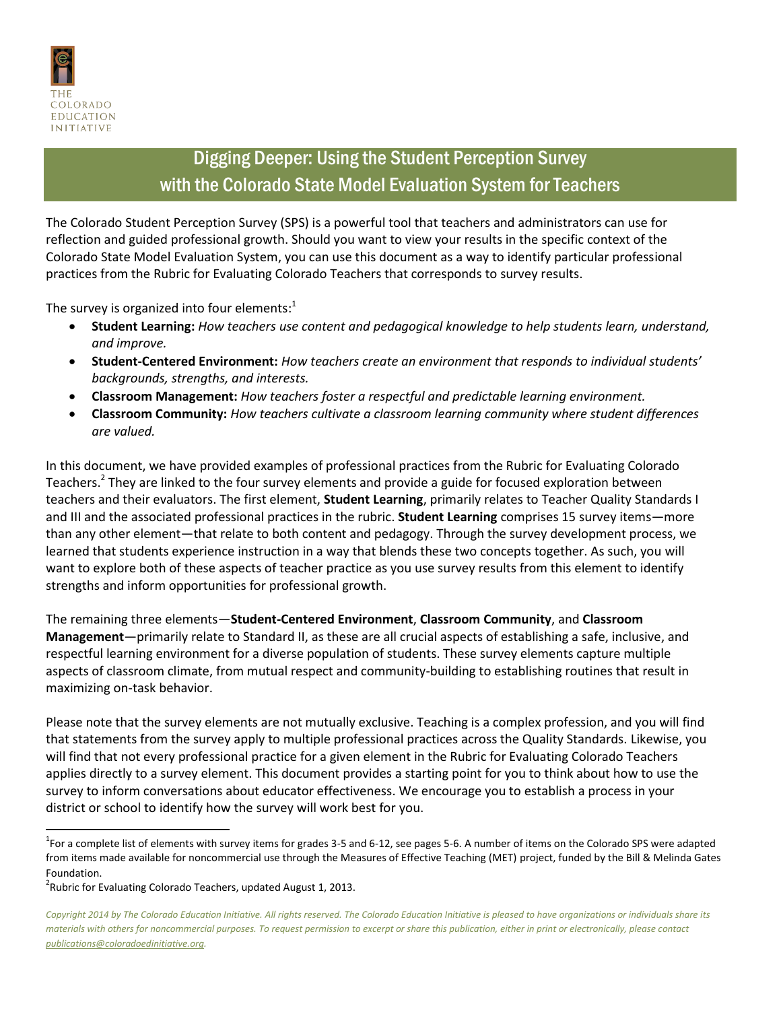

## Digging Deeper: Using the Student Perception Survey with the Colorado State Model Evaluation System for Teachers

The Colorado Student Perception Survey (SPS) is a powerful tool that teachers and administrators can use for reflection and guided professional growth. Should you want to view your results in the specific context of the Colorado State Model Evaluation System, you can use this document as a way to identify particular professional practices from the Rubric for Evaluating Colorado Teachers that corresponds to survey results.

The survey is organized into four elements:<sup>1</sup>

- **Student Learning:** *How teachers use content and pedagogical knowledge to help students learn, understand, and improve.*
- **Student-Centered Environment:** *How teachers create an environment that responds to individual students' backgrounds, strengths, and interests.*
- **Classroom Management:** *How teachers foster a respectful and predictable learning environment.*
- **Classroom Community:** *How teachers cultivate a classroom learning community where student differences are valued.*

In this document, we have provided examples of professional practices from the Rubric for Evaluating Colorado Teachers.<sup>2</sup> They are linked to the four survey elements and provide a guide for focused exploration between teachers and their evaluators. The first element, **Student Learning**, primarily relates to Teacher Quality Standards I and III and the associated professional practices in the rubric. **Student Learning** comprises 15 survey items—more than any other element—that relate to both content and pedagogy. Through the survey development process, we learned that students experience instruction in a way that blends these two concepts together. As such, you will want to explore both of these aspects of teacher practice as you use survey results from this element to identify strengths and inform opportunities for professional growth.

The remaining three elements—**Student-Centered Environment**, **Classroom Community**, and **Classroom Management**—primarily relate to Standard II, as these are all crucial aspects of establishing a safe, inclusive, and respectful learning environment for a diverse population of students. These survey elements capture multiple aspects of classroom climate, from mutual respect and community-building to establishing routines that result in maximizing on-task behavior.

Please note that the survey elements are not mutually exclusive. Teaching is a complex profession, and you will find that statements from the survey apply to multiple professional practices across the Quality Standards. Likewise, you will find that not every professional practice for a given element in the Rubric for Evaluating Colorado Teachers applies directly to a survey element. This document provides a starting point for you to think about how to use the survey to inform conversations about educator effectiveness. We encourage you to establish a process in your district or school to identify how the survey will work best for you.

l

 $^1$ For a complete list of elements with survey items for grades 3-5 and 6-12, see pages 5-6. A number of items on the Colorado SPS were adapted from items made available for noncommercial use through the Measures of Effective Teaching (MET) project, funded by the Bill & Melinda Gates Foundation.

 $2$ Rubric for Evaluating Colorado Teachers, updated August 1, 2013.

*Copyright 2014 by The Colorado Education Initiative. All rights reserved. The Colorado Education Initiative is pleased to have organizations or individuals share its materials with others for noncommercial purposes. To request permission to excerpt or share this publication, either in print or electronically, please contact publications@coloradoedinitiative.org.*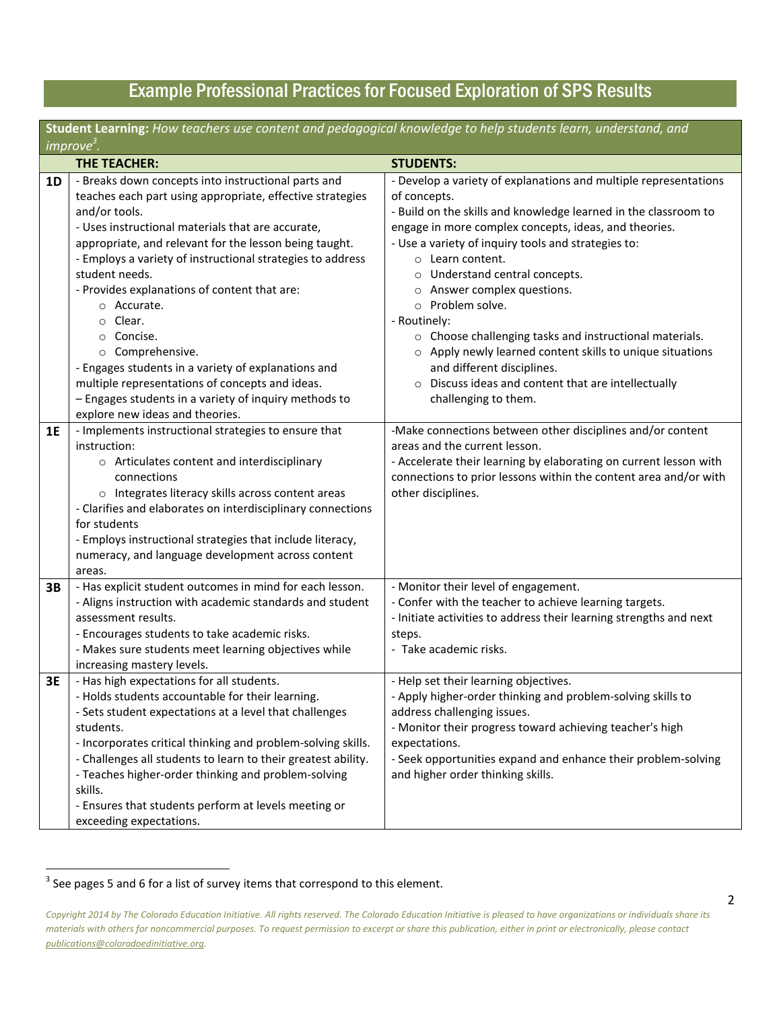# Example Professional Practices for Focused Exploration of SPS Results

| Student Learning: How teachers use content and pedagogical knowledge to help students learn, understand, and |                                                               |                                                                    |  |  |
|--------------------------------------------------------------------------------------------------------------|---------------------------------------------------------------|--------------------------------------------------------------------|--|--|
| improve <sup>3</sup> .                                                                                       |                                                               |                                                                    |  |  |
|                                                                                                              | <b>THE TEACHER:</b>                                           | <b>STUDENTS:</b>                                                   |  |  |
| 1D                                                                                                           | - Breaks down concepts into instructional parts and           | - Develop a variety of explanations and multiple representations   |  |  |
|                                                                                                              | teaches each part using appropriate, effective strategies     | of concepts.                                                       |  |  |
|                                                                                                              | and/or tools.                                                 | - Build on the skills and knowledge learned in the classroom to    |  |  |
|                                                                                                              | - Uses instructional materials that are accurate,             | engage in more complex concepts, ideas, and theories.              |  |  |
|                                                                                                              | appropriate, and relevant for the lesson being taught.        | - Use a variety of inquiry tools and strategies to:                |  |  |
|                                                                                                              | - Employs a variety of instructional strategies to address    | $\circ$ Learn content.                                             |  |  |
|                                                                                                              | student needs.                                                | o Understand central concepts.                                     |  |  |
|                                                                                                              | - Provides explanations of content that are:                  | o Answer complex questions.                                        |  |  |
|                                                                                                              | ○ Accurate.                                                   | o Problem solve.                                                   |  |  |
|                                                                                                              | Clear.<br>$\circ$                                             | - Routinely:                                                       |  |  |
|                                                                                                              | Concise.<br>$\circ$                                           | o Choose challenging tasks and instructional materials.            |  |  |
|                                                                                                              | o Comprehensive.                                              | o Apply newly learned content skills to unique situations          |  |  |
|                                                                                                              | - Engages students in a variety of explanations and           | and different disciplines.                                         |  |  |
|                                                                                                              | multiple representations of concepts and ideas.               | Discuss ideas and content that are intellectually<br>$\circ$       |  |  |
|                                                                                                              | - Engages students in a variety of inquiry methods to         | challenging to them.                                               |  |  |
|                                                                                                              | explore new ideas and theories.                               |                                                                    |  |  |
| 1E                                                                                                           | - Implements instructional strategies to ensure that          | -Make connections between other disciplines and/or content         |  |  |
|                                                                                                              | instruction:                                                  | areas and the current lesson.                                      |  |  |
|                                                                                                              | o Articulates content and interdisciplinary                   | - Accelerate their learning by elaborating on current lesson with  |  |  |
|                                                                                                              | connections                                                   | connections to prior lessons within the content area and/or with   |  |  |
|                                                                                                              | o Integrates literacy skills across content areas             | other disciplines.                                                 |  |  |
|                                                                                                              | - Clarifies and elaborates on interdisciplinary connections   |                                                                    |  |  |
|                                                                                                              | for students                                                  |                                                                    |  |  |
|                                                                                                              | - Employs instructional strategies that include literacy,     |                                                                    |  |  |
|                                                                                                              | numeracy, and language development across content             |                                                                    |  |  |
|                                                                                                              | areas.                                                        |                                                                    |  |  |
| 3B                                                                                                           | - Has explicit student outcomes in mind for each lesson.      | - Monitor their level of engagement.                               |  |  |
|                                                                                                              | - Aligns instruction with academic standards and student      | - Confer with the teacher to achieve learning targets.             |  |  |
|                                                                                                              | assessment results.                                           | - Initiate activities to address their learning strengths and next |  |  |
|                                                                                                              | - Encourages students to take academic risks.                 | steps.                                                             |  |  |
|                                                                                                              | - Makes sure students meet learning objectives while          | - Take academic risks.                                             |  |  |
|                                                                                                              | increasing mastery levels.                                    |                                                                    |  |  |
| 3E                                                                                                           | - Has high expectations for all students.                     | - Help set their learning objectives.                              |  |  |
|                                                                                                              | - Holds students accountable for their learning.              | - Apply higher-order thinking and problem-solving skills to        |  |  |
|                                                                                                              | - Sets student expectations at a level that challenges        | address challenging issues.                                        |  |  |
|                                                                                                              | students.                                                     | - Monitor their progress toward achieving teacher's high           |  |  |
|                                                                                                              | - Incorporates critical thinking and problem-solving skills.  | expectations.                                                      |  |  |
|                                                                                                              | - Challenges all students to learn to their greatest ability. | - Seek opportunities expand and enhance their problem-solving      |  |  |
|                                                                                                              | - Teaches higher-order thinking and problem-solving           | and higher order thinking skills.                                  |  |  |
|                                                                                                              | skills.                                                       |                                                                    |  |  |
|                                                                                                              | - Ensures that students perform at levels meeting or          |                                                                    |  |  |
|                                                                                                              | exceeding expectations.                                       |                                                                    |  |  |

**EXECUTE:**<br>3 See pages 5 and 6 for a list of survey items that correspond to this element.

*Copyright 2014 by The Colorado Education Initiative. All rights reserved. The Colorado Education Initiative is pleased to have organizations or individuals share its materials with others for noncommercial purposes. To request permission to excerpt or share this publication, either in print or electronically, please contact publications@coloradoedinitiative.org.*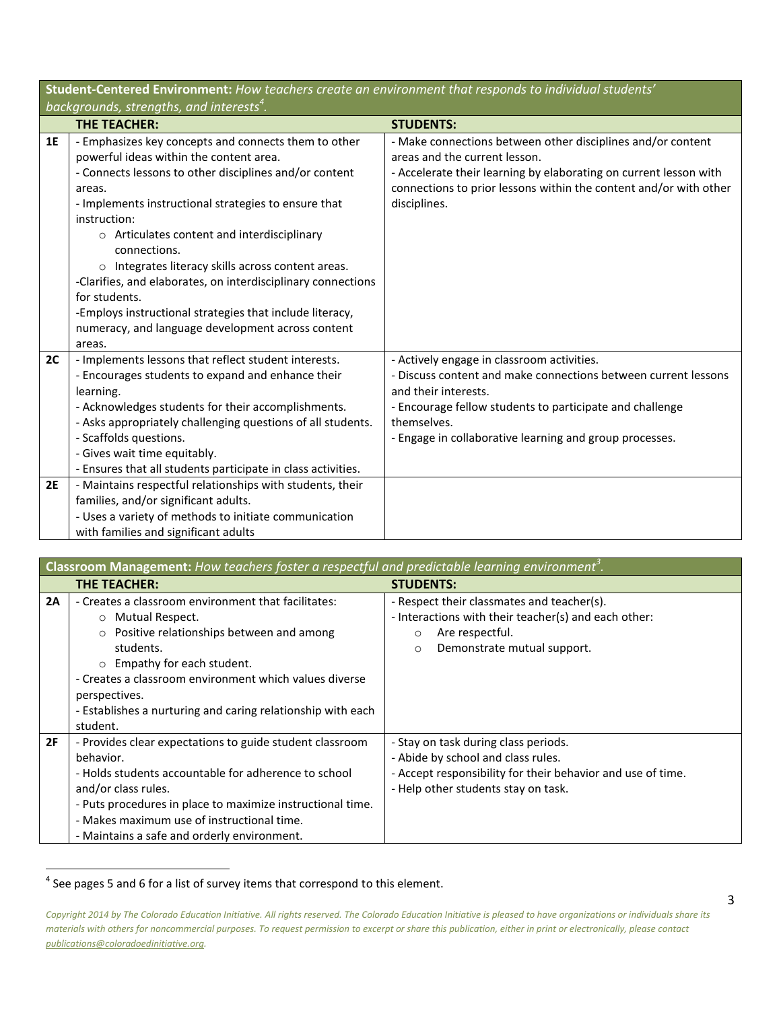| Student-Centered Environment: How teachers create an environment that responds to individual students' |                                                                                                                                                                                                                                                                                                                                                                                                                                                                                                                                                                              |                                                                                                                                                                                                                                                                            |  |  |
|--------------------------------------------------------------------------------------------------------|------------------------------------------------------------------------------------------------------------------------------------------------------------------------------------------------------------------------------------------------------------------------------------------------------------------------------------------------------------------------------------------------------------------------------------------------------------------------------------------------------------------------------------------------------------------------------|----------------------------------------------------------------------------------------------------------------------------------------------------------------------------------------------------------------------------------------------------------------------------|--|--|
| backgrounds, strengths, and interests <sup>4</sup> .                                                   |                                                                                                                                                                                                                                                                                                                                                                                                                                                                                                                                                                              |                                                                                                                                                                                                                                                                            |  |  |
|                                                                                                        | <b>THE TEACHER:</b>                                                                                                                                                                                                                                                                                                                                                                                                                                                                                                                                                          | <b>STUDENTS:</b>                                                                                                                                                                                                                                                           |  |  |
| 1E                                                                                                     | - Emphasizes key concepts and connects them to other<br>powerful ideas within the content area.<br>- Connects lessons to other disciplines and/or content<br>areas.<br>- Implements instructional strategies to ensure that<br>instruction:<br>o Articulates content and interdisciplinary<br>connections.<br>o Integrates literacy skills across content areas.<br>-Clarifies, and elaborates, on interdisciplinary connections<br>for students.<br>-Employs instructional strategies that include literacy,<br>numeracy, and language development across content<br>areas. | - Make connections between other disciplines and/or content<br>areas and the current lesson.<br>- Accelerate their learning by elaborating on current lesson with<br>connections to prior lessons within the content and/or with other<br>disciplines.                     |  |  |
| 2C<br>2E                                                                                               | - Implements lessons that reflect student interests.<br>- Encourages students to expand and enhance their<br>learning.<br>- Acknowledges students for their accomplishments.<br>- Asks appropriately challenging questions of all students.<br>- Scaffolds questions.<br>- Gives wait time equitably.<br>- Ensures that all students participate in class activities.<br>- Maintains respectful relationships with students, their                                                                                                                                           | - Actively engage in classroom activities.<br>- Discuss content and make connections between current lessons<br>and their interests.<br>- Encourage fellow students to participate and challenge<br>themselves.<br>- Engage in collaborative learning and group processes. |  |  |
|                                                                                                        | families, and/or significant adults.<br>- Uses a variety of methods to initiate communication<br>with families and significant adults                                                                                                                                                                                                                                                                                                                                                                                                                                        |                                                                                                                                                                                                                                                                            |  |  |

| <b>Classroom Management:</b> How teachers foster a respectful and predictable learning environment <sup>3</sup> . |                                                             |                                                             |  |  |
|-------------------------------------------------------------------------------------------------------------------|-------------------------------------------------------------|-------------------------------------------------------------|--|--|
|                                                                                                                   | THE TEACHER:                                                | <b>STUDENTS:</b>                                            |  |  |
| 2A                                                                                                                | - Creates a classroom environment that facilitates:         | - Respect their classmates and teacher(s).                  |  |  |
|                                                                                                                   | O Mutual Respect.                                           | - Interactions with their teacher(s) and each other:        |  |  |
|                                                                                                                   | o Positive relationships between and among                  | Are respectful.<br>$\Omega$                                 |  |  |
|                                                                                                                   | students.                                                   | Demonstrate mutual support.<br>$\circ$                      |  |  |
|                                                                                                                   | $\circ$ Empathy for each student.                           |                                                             |  |  |
|                                                                                                                   | - Creates a classroom environment which values diverse      |                                                             |  |  |
|                                                                                                                   | perspectives.                                               |                                                             |  |  |
|                                                                                                                   | - Establishes a nurturing and caring relationship with each |                                                             |  |  |
|                                                                                                                   | student.                                                    |                                                             |  |  |
| 2F                                                                                                                | - Provides clear expectations to guide student classroom    | - Stay on task during class periods.                        |  |  |
|                                                                                                                   | behavior.                                                   | - Abide by school and class rules.                          |  |  |
|                                                                                                                   | - Holds students accountable for adherence to school        | - Accept responsibility for their behavior and use of time. |  |  |
|                                                                                                                   | and/or class rules.                                         | - Help other students stay on task.                         |  |  |
|                                                                                                                   | - Puts procedures in place to maximize instructional time.  |                                                             |  |  |
|                                                                                                                   | - Makes maximum use of instructional time.                  |                                                             |  |  |
|                                                                                                                   | - Maintains a safe and orderly environment.                 |                                                             |  |  |

<sup>&</sup>lt;u>4</u><br>4 See pages 5 and 6 for a list of survey items that correspond to this element.

*Copyright 2014 by The Colorado Education Initiative. All rights reserved. The Colorado Education Initiative is pleased to have organizations or individuals share its materials with others for noncommercial purposes. To request permission to excerpt or share this publication, either in print or electronically, please contact publications@coloradoedinitiative.org.*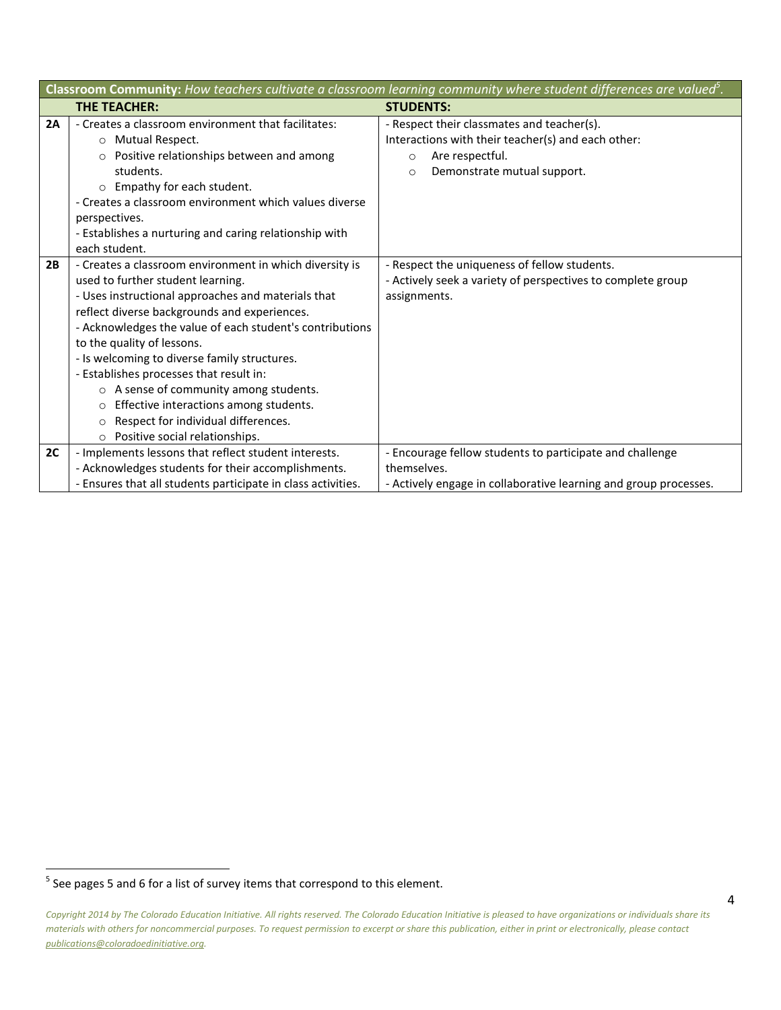| Classroom Community: How teachers cultivate a classroom learning community where student differences are valued <sup>5</sup> . |                                                                                                                                                                                                                                                                                                                                                                                                                                                                                                                                                                                        |                                                                                                                                                                          |  |  |
|--------------------------------------------------------------------------------------------------------------------------------|----------------------------------------------------------------------------------------------------------------------------------------------------------------------------------------------------------------------------------------------------------------------------------------------------------------------------------------------------------------------------------------------------------------------------------------------------------------------------------------------------------------------------------------------------------------------------------------|--------------------------------------------------------------------------------------------------------------------------------------------------------------------------|--|--|
|                                                                                                                                | THE TEACHER:                                                                                                                                                                                                                                                                                                                                                                                                                                                                                                                                                                           | <b>STUDENTS:</b>                                                                                                                                                         |  |  |
| 2A                                                                                                                             | - Creates a classroom environment that facilitates:<br>O Mutual Respect.<br>Positive relationships between and among<br>$\Omega$<br>students.<br>Empathy for each student.<br>$\circ$<br>- Creates a classroom environment which values diverse<br>perspectives.<br>- Establishes a nurturing and caring relationship with<br>each student.                                                                                                                                                                                                                                            | - Respect their classmates and teacher(s).<br>Interactions with their teacher(s) and each other:<br>Are respectful.<br>$\circ$<br>Demonstrate mutual support.<br>$\circ$ |  |  |
| 2B                                                                                                                             | - Creates a classroom environment in which diversity is<br>used to further student learning.<br>- Uses instructional approaches and materials that<br>reflect diverse backgrounds and experiences.<br>- Acknowledges the value of each student's contributions<br>to the quality of lessons.<br>- Is welcoming to diverse family structures.<br>- Establishes processes that result in:<br>o A sense of community among students.<br>Effective interactions among students.<br>$\circ$<br>Respect for individual differences.<br>$\circ$<br>Positive social relationships.<br>$\Omega$ | - Respect the uniqueness of fellow students.<br>- Actively seek a variety of perspectives to complete group<br>assignments.                                              |  |  |
| 2C                                                                                                                             | - Implements lessons that reflect student interests.<br>- Acknowledges students for their accomplishments.                                                                                                                                                                                                                                                                                                                                                                                                                                                                             | - Encourage fellow students to participate and challenge<br>themselves.                                                                                                  |  |  |
|                                                                                                                                | - Ensures that all students participate in class activities.                                                                                                                                                                                                                                                                                                                                                                                                                                                                                                                           | - Actively engage in collaborative learning and group processes.                                                                                                         |  |  |

<sup>&</sup>lt;u>see pages 5 and 6 for a list of survey</u> items that correspond to this element.

*Copyright 2014 by The Colorado Education Initiative. All rights reserved. The Colorado Education Initiative is pleased to have organizations or individuals share its materials with others for noncommercial purposes. To request permission to excerpt or share this publication, either in print or electronically, please contact publications@coloradoedinitiative.org.*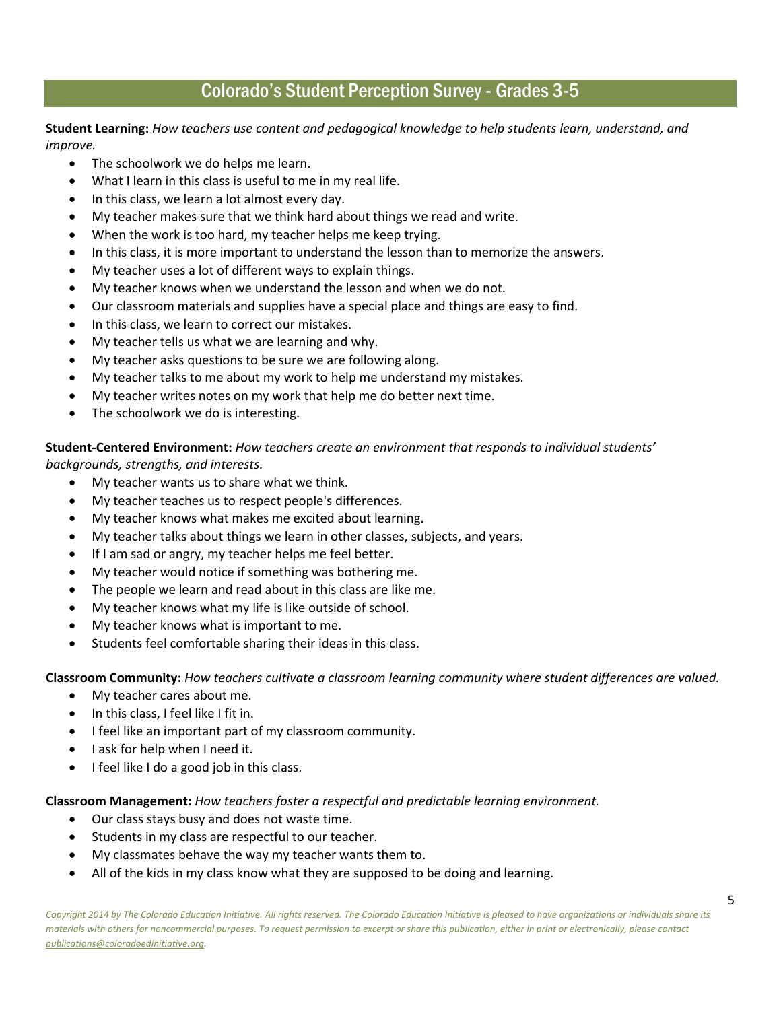### Colorado's Student Perception Survey - Grades 3-5

**Student Learning:** *How teachers use content and pedagogical knowledge to help students learn, understand, and improve.*

- The schoolwork we do helps me learn.
- What I learn in this class is useful to me in my real life.
- In this class, we learn a lot almost every day.
- My teacher makes sure that we think hard about things we read and write.
- When the work is too hard, my teacher helps me keep trying.
- In this class, it is more important to understand the lesson than to memorize the answers.
- My teacher uses a lot of different ways to explain things.
- My teacher knows when we understand the lesson and when we do not.
- Our classroom materials and supplies have a special place and things are easy to find.
- In this class, we learn to correct our mistakes.
- My teacher tells us what we are learning and why.
- My teacher asks questions to be sure we are following along.
- My teacher talks to me about my work to help me understand my mistakes.
- My teacher writes notes on my work that help me do better next time.
- The schoolwork we do is interesting.

**Student-Centered Environment:** *How teachers create an environment that responds to individual students' backgrounds, strengths, and interests.* 

- My teacher wants us to share what we think.
- My teacher teaches us to respect people's differences.
- My teacher knows what makes me excited about learning.
- My teacher talks about things we learn in other classes, subjects, and years.
- If I am sad or angry, my teacher helps me feel better.
- My teacher would notice if something was bothering me.
- The people we learn and read about in this class are like me.
- My teacher knows what my life is like outside of school.
- My teacher knows what is important to me.
- Students feel comfortable sharing their ideas in this class.

**Classroom Community:** *How teachers cultivate a classroom learning community where student differences are valued.*

- My teacher cares about me.
- In this class, I feel like I fit in.
- I feel like an important part of my classroom community.
- I ask for help when I need it.
- I feel like I do a good job in this class.

### **Classroom Management:** *How teachers foster a respectful and predictable learning environment.*

- Our class stays busy and does not waste time.
- Students in my class are respectful to our teacher.
- My classmates behave the way my teacher wants them to.
- All of the kids in my class know what they are supposed to be doing and learning.